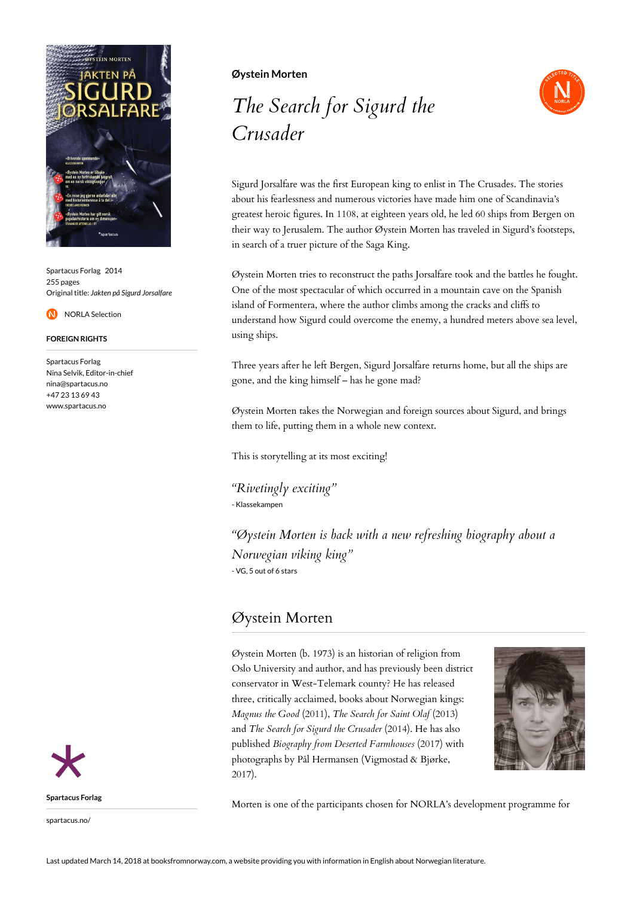

Spartacus Forlag 2014 255 pages Original title: *Jakten på Sigurd Jorsalfare*

NORLA Selection

## **FOREIGN RIGHTS**

Spartacus Forlag Nina Selvik, Editor-in-chief nina@spartacus.no +47 23 13 69 43 www.spartacus.no



spartacus.no/

## **Øystein Morten**

## *The Search for Sigurd the Crusader*



Sigurd Jorsalfare was the first European king to enlist in The Crusades. The stories about his fearlessness and numerous victories have made him one of Scandinavia's greatest heroic figures. In 1108, at eighteen years old, he led 60 ships from Bergen on their way to Jerusalem. The author Øystein Morten has traveled in Sigurd's footsteps, in search of a truer picture of the Saga King.

Øystein Morten tries to reconstruct the paths Jorsalfare took and the battles he fought. One of the most spectacular of which occurred in a mountain cave on the Spanish island of Formentera, where the author climbs among the cracks and cliffs to understand how Sigurd could overcome the enemy, a hundred meters above sea level, using ships.

Three years after he left Bergen, Sigurd Jorsalfare returns home, but all the ships are gone, and the king himself – has he gone mad?

Øystein Morten takes the Norwegian and foreign sources about Sigurd, and brings them to life, putting them in a whole new context.

This is storytelling at its most exciting!

*"Rivetingly exciting"* - Klassekampen

*"Øystein Morten is back with a new refreshing biography about a Norwegian viking king"* - VG, 5 out of 6 stars

## Øystein Morten

Øystein Morten (b. 1973) is an historian of religion from Oslo University and author, and has previously been district conservator in West-Telemark county? He has released three, critically acclaimed, books about Norwegian kings: *Magnus the Good* (2011), *The Search for Saint Olaf* (2013) and *The Search for Sigurd the Crusader* (2014). He has also published *Biography from Deserted Farmhouses* (2017) with photographs by Pål Hermansen (Vigmostad & Bjørke, 2017).



Morten is one of the participants chosen for NORLA's development programme for